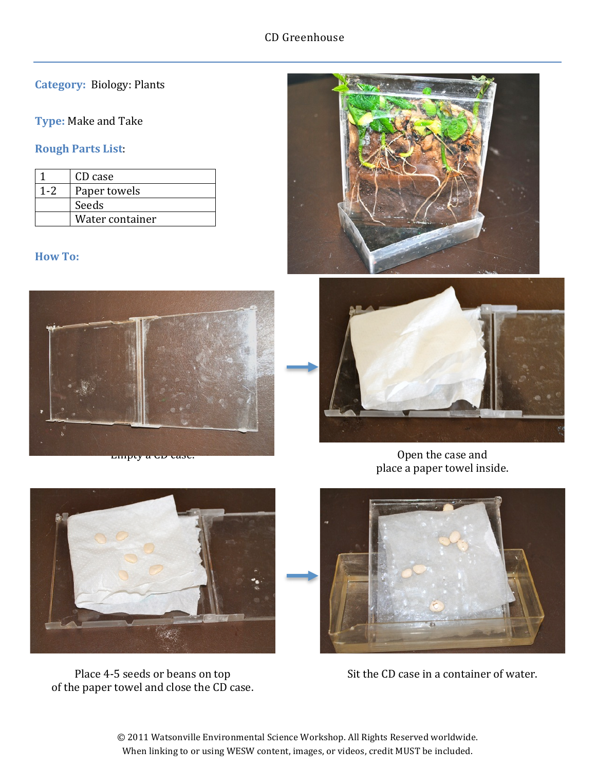## **Category: Biology: Plants**

#### **Type:** Make and Take

## **Rough Parts List**:

|     | CD case         |
|-----|-----------------|
| 1.2 | Paper towels    |
|     | Seeds           |
|     | Water container |

#### **How To:**







Open the case and place a paper towel inside.



Place 4-5 seeds or beans on top of the paper towel and close the CD case.



Sit the CD case in a container of water.

© 2011 Watsonville Environmental Science Workshop. All Rights Reserved worldwide. When linking to or using WESW content, images, or videos, credit MUST be included.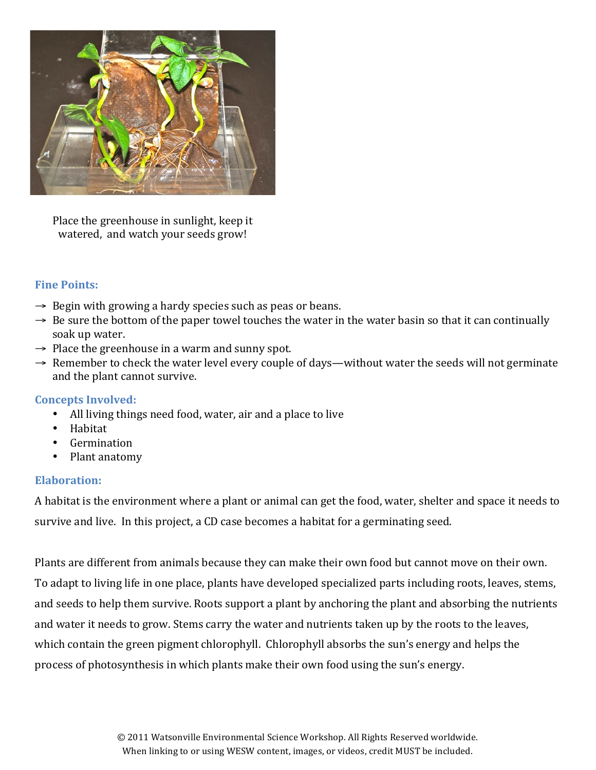

Place the greenhouse in sunlight, keep it watered, and watch your seeds grow!

### **Fine Points:**

- $\rightarrow$  Begin with growing a hardy species such as peas or beans.
- $\rightarrow$  Be sure the bottom of the paper towel touches the water in the water basin so that it can continually soak up water.
- $\rightarrow$  Place the greenhouse in a warm and sunny spot.
- $\rightarrow$  Remember to check the water level every couple of days—without water the seeds will not germinate and the plant cannot survive.

#### **Concepts Involved:**

- All living things need food, water, air and a place to live
- Habitat
- Germination
- Plant anatomy

#### **Elaboration:**

A habitat is the environment where a plant or animal can get the food, water, shelter and space it needs to survive and live. In this project, a CD case becomes a habitat for a germinating seed.

Plants are different from animals because they can make their own food but cannot move on their own. To adapt to living life in one place, plants have developed specialized parts including roots, leaves, stems, and seeds to help them survive. Roots support a plant by anchoring the plant and absorbing the nutrients and water it needs to grow. Stems carry the water and nutrients taken up by the roots to the leaves, which contain the green pigment chlorophyll. Chlorophyll absorbs the sun's energy and helps the process of photosynthesis in which plants make their own food using the sun's energy.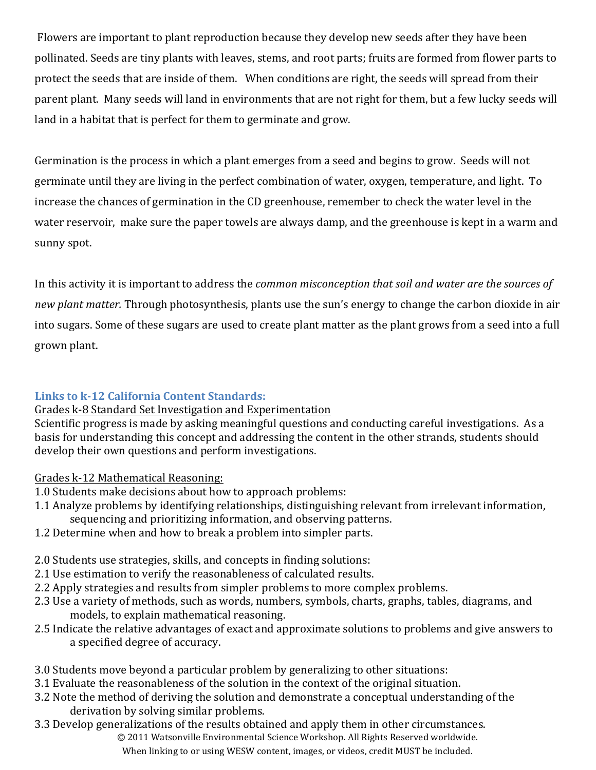Flowers are important to plant reproduction because they develop new seeds after they have been pollinated. Seeds are tiny plants with leaves, stems, and root parts; fruits are formed from flower parts to protect the seeds that are inside of them. When conditions are right, the seeds will spread from their parent plant. "Many seeds will land in environments that are not right for them, but a few lucky seeds will land in a habitat that is perfect for them to germinate and grow.

Germination is the process in which a plant emerges from a seed and begins to grow. Seeds will not germinate until they are living in the perfect combination of water, oxygen, temperature, and light. To increase the chances of germination in the CD greenhouse, remember to check the water level in the water reservoir, make sure the paper towels are always damp, and the greenhouse is kept in a warm and sunny spot.

In this activity it is important to address the *common misconception that soil and water are the sources of* new plant matter. Through photosynthesis, plants use the sun's energy to change the carbon dioxide in air into sugars. Some of these sugars are used to create plant matter as the plant grows from a seed into a full grown plant.

# **Links to k-12 California Content Standards:**

## Grades k-8 Standard Set Investigation and Experimentation

Scientific progress is made by asking meaningful questions and conducting careful investigations. As a basis for understanding this concept and addressing the content in the other strands, students should develop their own questions and perform investigations.

## Grades k-12 Mathematical Reasoning:

- 1.0 Students make decisions about how to approach problems:
- 1.1 Analyze problems by identifying relationships, distinguishing relevant from irrelevant information, sequencing and prioritizing information, and observing patterns.
- 1.2 Determine when and how to break a problem into simpler parts.
- 2.0 Students use strategies, skills, and concepts in finding solutions:
- 2.1 Use estimation to verify the reasonableness of calculated results.
- 2.2 Apply strategies and results from simpler problems to more complex problems.
- 2.3 Use a variety of methods, such as words, numbers, symbols, charts, graphs, tables, diagrams, and models, to explain mathematical reasoning.
- 2.5 Indicate the relative advantages of exact and approximate solutions to problems and give answers to a specified degree of accuracy.
- 3.0 Students move beyond a particular problem by generalizing to other situations:
- 3.1 Evaluate the reasonableness of the solution in the context of the original situation.
- 3.2 Note the method of deriving the solution and demonstrate a conceptual understanding of the derivation by solving similar problems.
- 3.3 Develop generalizations of the results obtained and apply them in other circumstances.

© 2011 Watsonville Environmental Science Workshop. All Rights Reserved worldwide. When linking to or using WESW content, images, or videos, credit MUST be included.